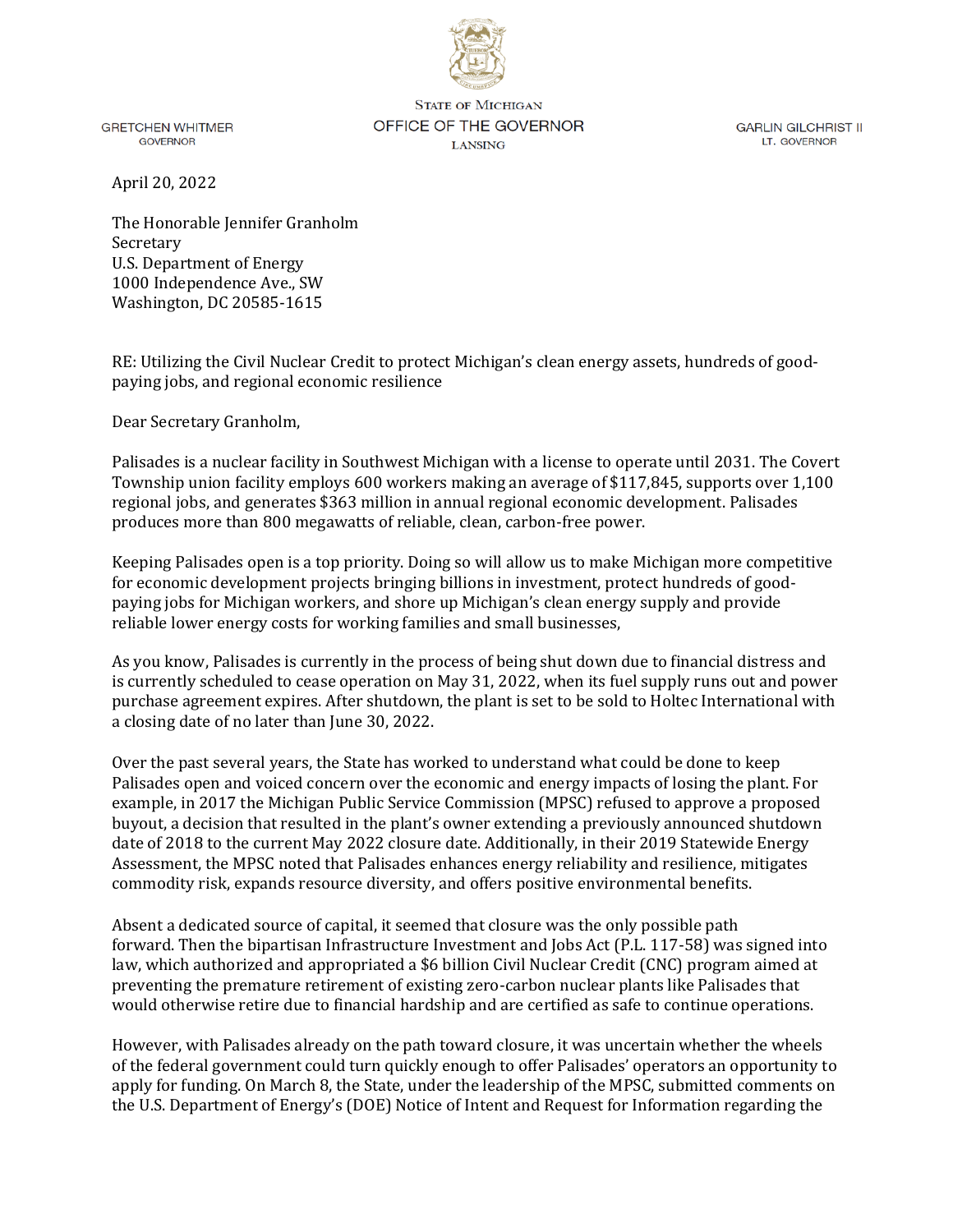

**GRETCHEN WHITMER GOVERNOR** 

**STATE OF MICHIGAN** OFFICE OF THE GOVERNOR **LANSING** 

**GARLIN GILCHRIST II** LT. GOVERNOR

April 20, 2022

The Honorable Jennifer Granholm Secretary U.S. Department of Energy 1000 Independence Ave., SW Washington, DC 20585-1615

RE: Utilizing the Civil Nuclear Credit to protect Michigan's clean energy assets, hundreds of goodpaying jobs, and regional economic resilience

Dear Secretary Granholm,

Palisades is a nuclear facility in Southwest Michigan with a license to operate until 2031. The Covert Township union facility employs 600 workers making an average of \$117,845, supports over 1,100 regional jobs, and generates \$363 million in annual regional economic development. Palisades produces more than 800 megawatts of reliable, clean, carbon-free power.

Keeping Palisades open is a top priority. Doing so will allow us to make Michigan more competitive for economic development projects bringing billions in investment, protect hundreds of goodpaying jobs for Michigan workers, and shore up Michigan's clean energy supply and provide reliable lower energy costs for working families and small businesses,

As you know, Palisades is currently in the process of being shut down due to financial distress and is currently scheduled to cease operation on May 31, 2022, when its fuel supply runs out and power purchase agreement expires. After shutdown, the plant is set to be sold to Holtec International with a closing date of no later than June 30, 2022.

Over the past several years, the State has worked to understand what could be done to keep Palisades open and voiced concern over the economic and energy impacts of losing the plant. For example, in 2017 the Michigan Public Service Commission (MPSC) refused to approve a proposed buyout, a decision that resulted in the plant's owner extending a previously announced shutdown date of 2018 to the current May 2022 closure date. Additionally, in their 2019 Statewide Energy Assessment, the MPSC noted that Palisades enhances energy reliability and resilience, mitigates commodity risk, expands resource diversity, and offers positive environmental benefits.

Absent a dedicated source of capital, it seemed that closure was the only possible path forward. Then the bipartisan Infrastructure Investment and Jobs Act (P.L. 117-58) was signed into law, which authorized and appropriated a \$6 billion Civil Nuclear Credit (CNC) program aimed at preventing the premature retirement of existing zero-carbon nuclear plants like Palisades that would otherwise retire due to financial hardship and are certified as safe to continue operations.

However, with Palisades already on the path toward closure, it was uncertain whether the wheels of the federal government could turn quickly enough to offer Palisades' operators an opportunity to apply for funding. On March 8, the State, under the leadership of the MPSC, submitted comments on the U.S. Department of Energy's (DOE) Notice of Intent and Request for Information regarding the